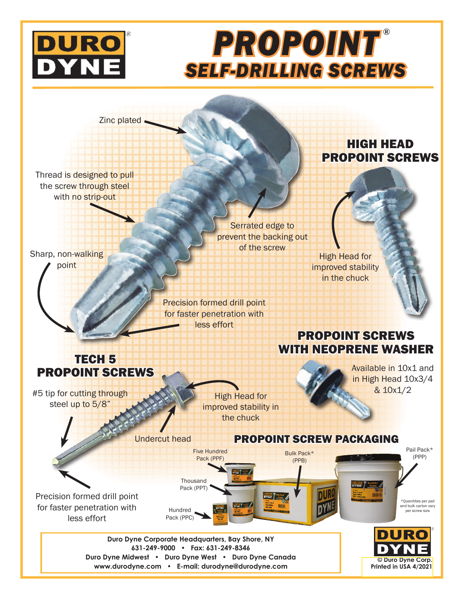

# *PROPOINT* **®***SELF-DRILLING SCREWS*

**Zinc plated** 

Thread is designed to pull the screw through steel with no strip-out

Sharp, non-walking point

Serrated edge to prevent the backing out of the screw

Precision formed drill point for faster penetration with less effort

### HIGH HEAD PROPOINT SCREWS



## PROPOINT SCREWS WITH NEOPRENE WASHER

TECH 5 PROPOINT SCREWS

#5 tip for cutting through the tip Head for the Contract of the U.S. 10x1/2 steel up to 5/8"

High Head for improved stability in the chuck

Available in 10x1 and in High Head 10x3/4

**Printed in USA 4/2021**

Undercut head PROPOINT SCREW PACKAGING Pail Pack\* Five Hundred Bulk Pack\* (PPP) Pack (PPF) (PPB) **Thousand** Pack (PPT) Precision formed drill point \*Quanitites per pail and bulk carton vary for faster penetration with Hundred per screw size Pack (PPC) less effort DUR **Duro Dyne Corporate Headquarters, Bay Shore, NY 631-249-9000 • Fax: 631-249-8346 Duro Dyne Midwest • Duro Dyne West • Duro Dyne Canada © Duro Dyne Corp.**

**www.durodyne.com • E-mail: durodyne@durodyne.com**